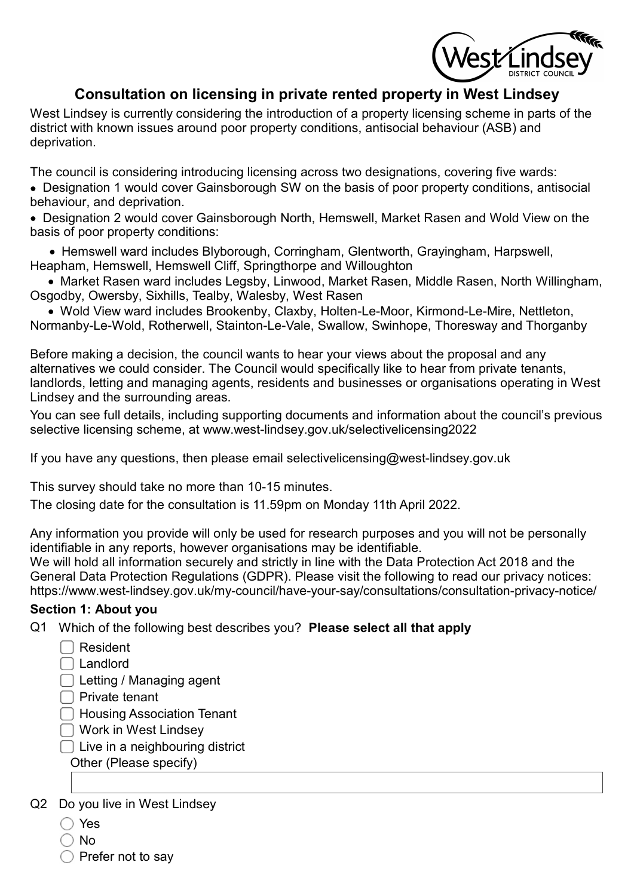/est⁄Lin

# Consultation on licensing in private rented property in West Lindsey

West Lindsey is currently considering the introduction of a property licensing scheme in parts of the district with known issues around poor property conditions, antisocial behaviour (ASB) and deprivation.

The council is considering introducing licensing across two designations, covering five wards:

· Designation 1 would cover Gainsborough SW on the basis of poor property conditions, antisocial behaviour, and deprivation.

· Designation 2 would cover Gainsborough North, Hemswell, Market Rasen and Wold View on the basis of poor property conditions:

 · Hemswell ward includes Blyborough, Corringham, Glentworth, Grayingham, Harpswell, Heapham, Hemswell, Hemswell Cliff, Springthorpe and Willoughton

 · Market Rasen ward includes Legsby, Linwood, Market Rasen, Middle Rasen, North Willingham, Osgodby, Owersby, Sixhills, Tealby, Walesby, West Rasen

 · Wold View ward includes Brookenby, Claxby, Holten-Le-Moor, Kirmond-Le-Mire, Nettleton, Normanby-Le-Wold, Rotherwell, Stainton-Le-Vale, Swallow, Swinhope, Thoresway and Thorganby

Before making a decision, the council wants to hear your views about the proposal and any alternatives we could consider. The Council would specifically like to hear from private tenants, landlords, letting and managing agents, residents and businesses or organisations operating in West Lindsey and the surrounding areas.

You can see full details, including supporting documents and information about the council's previous selective licensing scheme, at www.west-lindsey.gov.uk/selectivelicensing2022

If you have any questions, then please email selectivelicensing@west-lindsey.gov.uk

This survey should take no more than 10-15 minutes.

The closing date for the consultation is 11.59pm on Monday 11th April 2022.

Any information you provide will only be used for research purposes and you will not be personally identifiable in any reports, however organisations may be identifiable.

We will hold all information securely and strictly in line with the Data Protection Act 2018 and the General Data Protection Regulations (GDPR). Please visit the following to read our privacy notices: https://www.west-lindsey.gov.uk/my-council/have-your-say/consultations/consultation-privacy-notice/

#### Section 1: About you

Q1 Which of the following best describes you? Please select all that apply

- Resident
- □ Landlord

□ Letting / Managing agent

 $\Box$  Private tenant

◯ Housing Association Tenant

Work in West Lindsey

 $\Box$  Live in a neighbouring district

Other (Please specify)

Q2 Do you live in West Lindsey

- ◯ Yes
- $\bigcirc$  No

 $\supset$  Prefer not to sav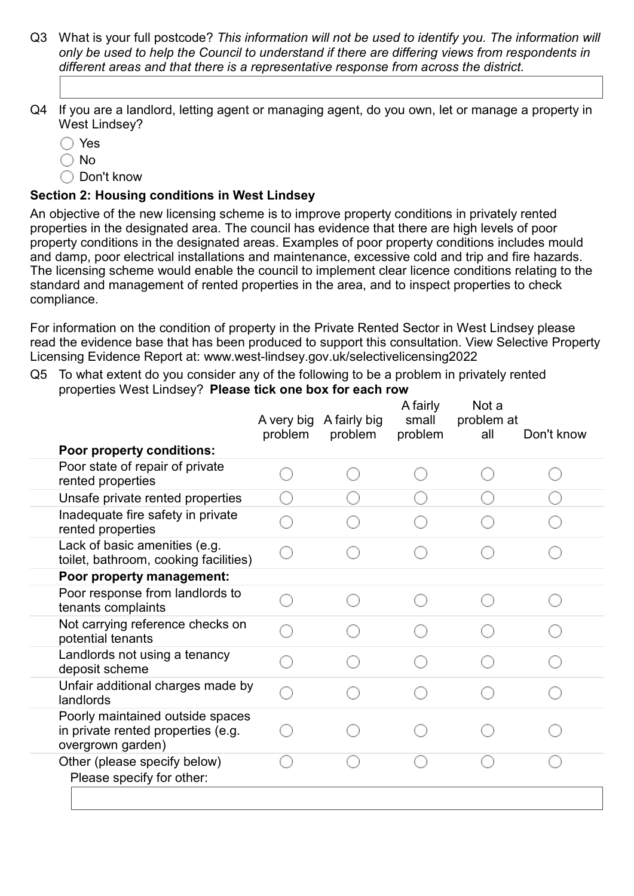- Q3 What is your full postcode? This information will not be used to identify you. The information will only be used to help the Council to understand if there are differing views from respondents in different areas and that there is a representative response from across the district.
- Q4 If you are a landlord, letting agent or managing agent, do you own, let or manage a property in West Lindsey?
	- Yes
	- $\bigcap$  No
	- $\bigcirc$  Don't know

## Section 2: Housing conditions in West Lindsey

An objective of the new licensing scheme is to improve property conditions in privately rented properties in the designated area. The council has evidence that there are high levels of poor property conditions in the designated areas. Examples of poor property conditions includes mould and damp, poor electrical installations and maintenance, excessive cold and trip and fire hazards. The licensing scheme would enable the council to implement clear licence conditions relating to the standard and management of rented properties in the area, and to inspect properties to check compliance.

For information on the condition of property in the Private Rented Sector in West Lindsey please read the evidence base that has been produced to support this consultation. View Selective Property Licensing Evidence Report at: www.west-lindsey.gov.uk/selectivelicensing2022

Q5 To what extent do you consider any of the following to be a problem in privately rented properties West Lindsey?  Please tick one box for each row

| <b>Poor property conditions:</b>                                                            | A very big<br>problem | A fairly big<br>problem | A fairly<br>small<br>problem | Not a<br>problem at<br>all | Don't know |
|---------------------------------------------------------------------------------------------|-----------------------|-------------------------|------------------------------|----------------------------|------------|
| Poor state of repair of private                                                             |                       |                         |                              |                            |            |
| rented properties                                                                           |                       |                         |                              |                            |            |
| Unsafe private rented properties                                                            |                       |                         |                              |                            |            |
| Inadequate fire safety in private<br>rented properties                                      |                       |                         |                              |                            |            |
| Lack of basic amenities (e.g.<br>toilet, bathroom, cooking facilities)                      |                       |                         |                              |                            |            |
| Poor property management:                                                                   |                       |                         |                              |                            |            |
| Poor response from landlords to<br>tenants complaints                                       |                       |                         |                              |                            |            |
| Not carrying reference checks on<br>potential tenants                                       |                       |                         |                              |                            |            |
| Landlords not using a tenancy<br>deposit scheme                                             |                       |                         |                              |                            |            |
| Unfair additional charges made by<br>landlords                                              |                       |                         |                              |                            |            |
| Poorly maintained outside spaces<br>in private rented properties (e.g.<br>overgrown garden) |                       |                         |                              |                            |            |
| Other (please specify below)<br>Please specify for other:                                   |                       |                         |                              |                            |            |
|                                                                                             |                       |                         |                              |                            |            |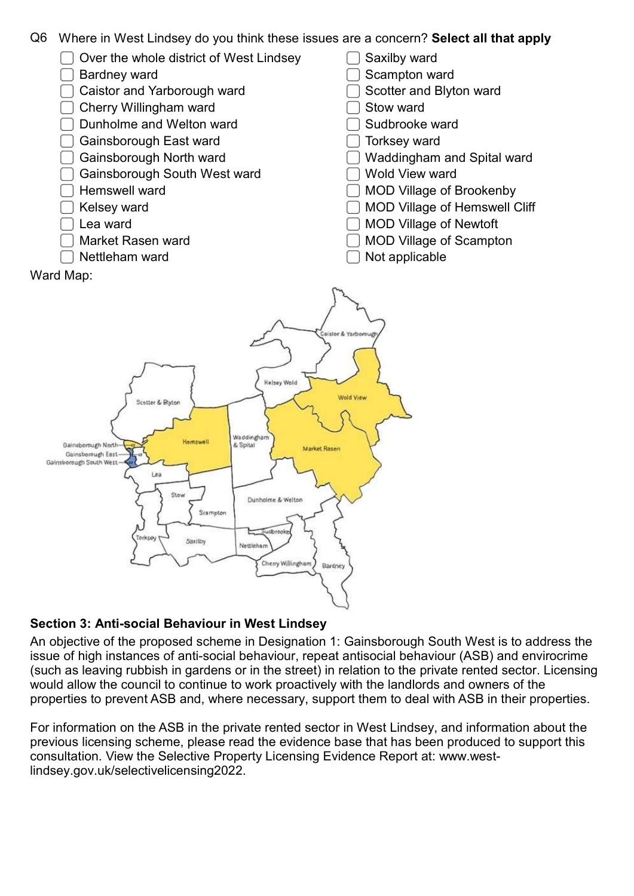

- $\Box$  Over the whole district of West Lindsey
- □ Bardney ward
- ◯ Caistor and Yarborough ward
- □ Cherry Willingham ward
- $\Box$  Dunholme and Welton ward
- □ Gainsborough East ward
- □ Gainsborough North ward
- Gainsborough South West ward
- $\Box$  Hemswell ward
- $\Box$  Kelsey ward
- Lea ward

Ward Map:

- Market Rasen ward
- Nettleham ward
- Saxilby ward
- Scampton ward
- Scotter and Blyton ward
- Stow ward
- Sudbrooke ward ┐
- Torksey ward
- Waddingham and Spital ward
- Wold View ward
- MOD Village of Brookenby
- MOD Village of Hemswell Cliff
- MOD Village of Newtoft
- MOD Village of Scampton
- Not applicable



## Section 3: Anti-social Behaviour in West Lindsey

An objective of the proposed scheme in Designation 1: Gainsborough South West is to address the issue of high instances of anti-social behaviour, repeat antisocial behaviour (ASB) and envirocrime (such as leaving rubbish in gardens or in the street) in relation to the private rented sector. Licensing would allow the council to continue to work proactively with the landlords and owners of the properties to prevent ASB and, where necessary, support them to deal with ASB in their properties.

For information on the ASB in the private rented sector in West Lindsey, and information about the previous licensing scheme, please read the evidence base that has been produced to support this consultation. View the Selective Property Licensing Evidence Report at: www.westlindsey.gov.uk/selectivelicensing2022.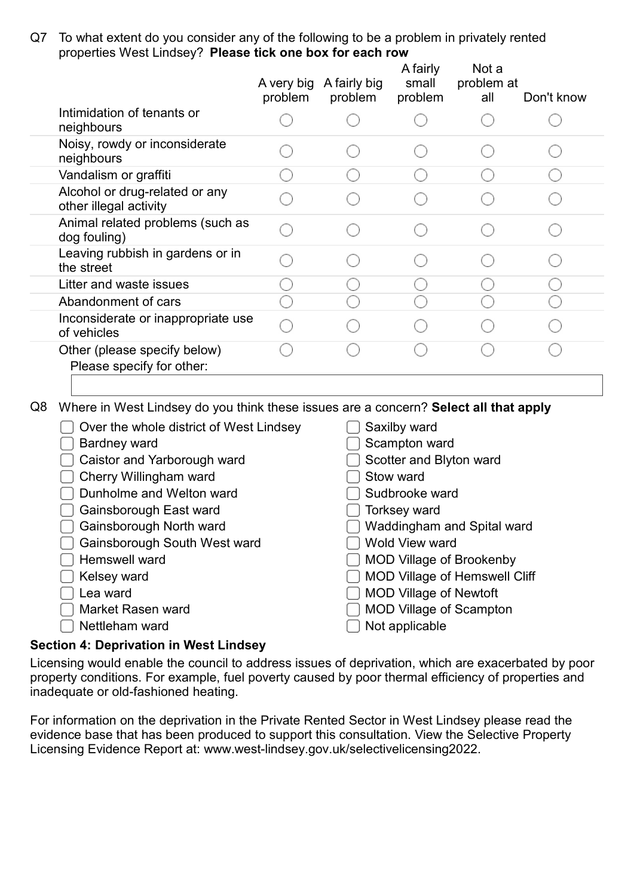Q7 To what extent do you consider any of the following to be a problem in privately rented properties West Lindsey?  Please tick one box for each row

|                                                           | A very big<br>problem | A fairly big<br>problem | A fairly<br>small<br>problem | Not a<br>problem at<br>all | Don't know |
|-----------------------------------------------------------|-----------------------|-------------------------|------------------------------|----------------------------|------------|
| Intimidation of tenants or<br>neighbours                  |                       |                         |                              |                            |            |
| Noisy, rowdy or inconsiderate<br>neighbours               |                       |                         |                              |                            |            |
| Vandalism or graffiti                                     |                       |                         |                              |                            |            |
| Alcohol or drug-related or any<br>other illegal activity  |                       |                         |                              |                            |            |
| Animal related problems (such as<br>dog fouling)          |                       |                         |                              |                            |            |
| Leaving rubbish in gardens or in<br>the street            |                       |                         |                              |                            |            |
| Litter and waste issues                                   |                       |                         |                              |                            |            |
| Abandonment of cars                                       |                       |                         |                              |                            |            |
| Inconsiderate or inappropriate use<br>of vehicles         |                       |                         |                              |                            |            |
| Other (please specify below)<br>Please specify for other: |                       |                         |                              |                            |            |
|                                                           |                       |                         |                              |                            |            |

Q8 Where in West Lindsey do you think these issues are a concern? Select all that apply

| Over the whole district of West Lindsey | Saxilby ward                         |
|-----------------------------------------|--------------------------------------|
| <b>Bardney ward</b>                     | Scampton ward                        |
| Caistor and Yarborough ward             | Scotter and Blyton ward              |
| Cherry Willingham ward                  | Stow ward                            |
| Dunholme and Welton ward                | Sudbrooke ward                       |
| Gainsborough East ward                  | <b>Torksey ward</b>                  |
| Gainsborough North ward                 | Waddingham and Spital ward           |
| Gainsborough South West ward            | <b>Wold View ward</b>                |
| Hemswell ward                           | <b>MOD Village of Brookenby</b>      |
| Kelsey ward                             | <b>MOD Village of Hemswell Cliff</b> |
| Lea ward                                | <b>MOD Village of Newtoft</b>        |
| Market Rasen ward                       | <b>MOD Village of Scampton</b>       |
| Nettleham ward                          | Not applicable                       |
|                                         |                                      |

### Section 4: Deprivation in West Lindsey

Licensing would enable the council to address issues of deprivation, which are exacerbated by poor property conditions. For example, fuel poverty caused by poor thermal efficiency of properties and inadequate or old-fashioned heating.

For information on the deprivation in the Private Rented Sector in West Lindsey please read the evidence base that has been produced to support this consultation. View the Selective Property Licensing Evidence Report at: www.west-lindsey.gov.uk/selectivelicensing2022.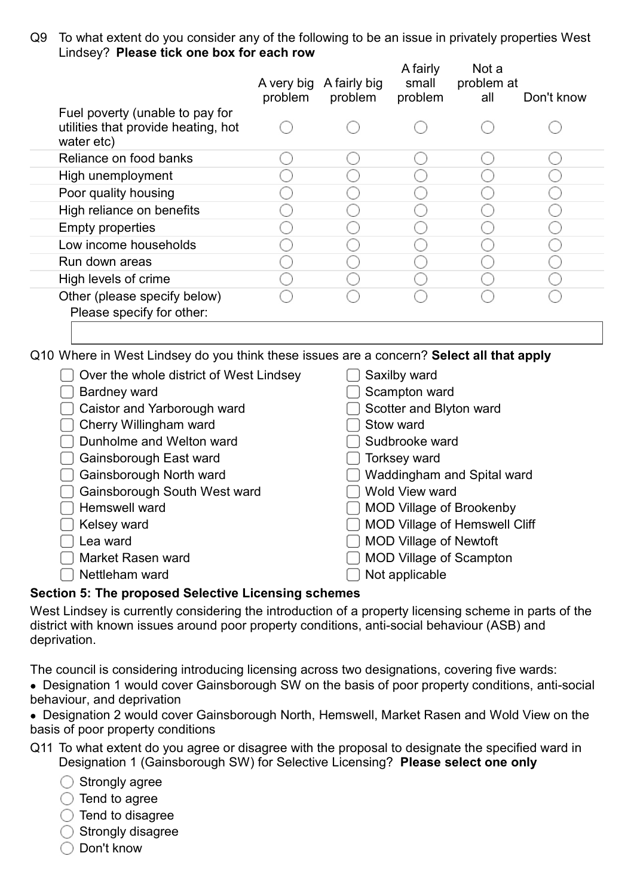Q9 To what extent do you consider any of the following to be an issue in privately properties West Lindsey?  Please tick one box for each row

|                                                                                      | A very big<br>problem | A fairly big<br>problem | A fairly<br>small<br>problem | Not a<br>problem at<br>all | Don't know |
|--------------------------------------------------------------------------------------|-----------------------|-------------------------|------------------------------|----------------------------|------------|
| Fuel poverty (unable to pay for<br>utilities that provide heating, hot<br>water etc) |                       |                         |                              |                            |            |
| Reliance on food banks                                                               |                       |                         |                              |                            |            |
| High unemployment                                                                    |                       |                         |                              |                            |            |
| Poor quality housing                                                                 |                       |                         |                              |                            |            |
| High reliance on benefits                                                            |                       |                         |                              |                            |            |
| <b>Empty properties</b>                                                              |                       |                         |                              |                            |            |
| Low income households                                                                |                       |                         |                              |                            |            |
| Run down areas                                                                       |                       |                         |                              |                            |            |
| High levels of crime                                                                 |                       |                         |                              |                            |            |
| Other (please specify below)<br>Please specify for other:                            |                       |                         |                              |                            |            |

Q10 Where in West Lindsey do you think these issues are a concern? Select all that apply

| Over the whole district of West Lindsey         | Saxilby ward                         |  |  |  |  |
|-------------------------------------------------|--------------------------------------|--|--|--|--|
| <b>Bardney ward</b>                             | Scampton ward                        |  |  |  |  |
| Caistor and Yarborough ward                     | Scotter and Blyton ward              |  |  |  |  |
| Cherry Willingham ward                          | Stow ward                            |  |  |  |  |
| Dunholme and Welton ward                        | Sudbrooke ward                       |  |  |  |  |
| Gainsborough East ward                          | <b>Torksey ward</b>                  |  |  |  |  |
| Gainsborough North ward                         | Waddingham and Spital ward           |  |  |  |  |
| Gainsborough South West ward                    | <b>Wold View ward</b>                |  |  |  |  |
| Hemswell ward                                   | <b>MOD Village of Brookenby</b>      |  |  |  |  |
| Kelsey ward                                     | <b>MOD Village of Hemswell Cliff</b> |  |  |  |  |
| Lea ward                                        | <b>MOD Village of Newtoft</b>        |  |  |  |  |
| Market Rasen ward                               | <b>MOD Village of Scampton</b>       |  |  |  |  |
| Nettleham ward                                  | Not applicable                       |  |  |  |  |
| ian E: The proposed Selective Licensing schemes |                                      |  |  |  |  |

### Section 5: The proposed Selective Licensing schemes

West Lindsey is currently considering the introduction of a property licensing scheme in parts of the district with known issues around poor property conditions, anti-social behaviour (ASB) and deprivation.

The council is considering introducing licensing across two designations, covering five wards:

- · Designation 1 would cover Gainsborough SW on the basis of poor property conditions, anti-social behaviour, and deprivation
- · Designation 2 would cover Gainsborough North, Hemswell, Market Rasen and Wold View on the basis of poor property conditions
- Q11 To what extent do you agree or disagree with the proposal to designate the specified ward in Designation 1 (Gainsborough SW) for Selective Licensing? Please select one only
	- $\bigcirc$  Strongly agree
	- $\bigcirc$  Tend to agree
	- $\bigcirc$  Tend to disagree
	- $\bigcirc$  Strongly disagree
	- ◯ Don't know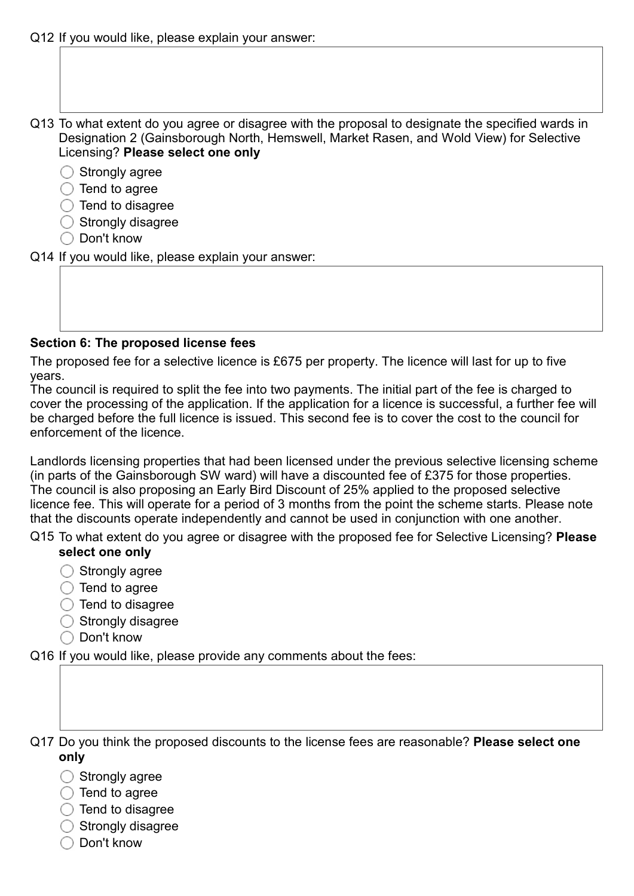- Q13 To what extent do you agree or disagree with the proposal to designate the specified wards in Designation 2 (Gainsborough North, Hemswell, Market Rasen, and Wold View) for Selective Licensing? Please select one only
	- $\bigcirc$  Strongly agree
	- $\bigcirc$  Tend to agree
	- $\bigcirc$  Tend to disagree
	- $\bigcirc$  Strongly disagree
	- $\bigcirc$  Don't know
- Q14 If you would like, please explain your answer:

#### Section 6: The proposed license fees

The proposed fee for a selective licence is £675 per property. The licence will last for up to five years.

The council is required to split the fee into two payments. The initial part of the fee is charged to cover the processing of the application. If the application for a licence is successful, a further fee will be charged before the full licence is issued. This second fee is to cover the cost to the council for enforcement of the licence.

Landlords licensing properties that had been licensed under the previous selective licensing scheme (in parts of the Gainsborough SW ward) will have a discounted fee of £375 for those properties. The council is also proposing an Early Bird Discount of 25% applied to the proposed selective licence fee. This will operate for a period of 3 months from the point the scheme starts. Please note that the discounts operate independently and cannot be used in conjunction with one another.

- Q15 To what extent do you agree or disagree with the proposed fee for Selective Licensing? Please select one only
	- $\bigcirc$  Strongly agree
	- $\bigcirc$  Tend to agree
	- $\bigcirc$  Tend to disagree
	- $\bigcirc$  Strongly disagree
	- $\bigcirc$  Don't know

Q16 If you would like, please provide any comments about the fees:

#### Q17 Do you think the proposed discounts to the license fees are reasonable? Please select one only

- $\bigcirc$  Strongly agree
- $\bigcirc$  Tend to agree
- $\bigcirc$  Tend to disagree
- $\bigcirc$  Strongly disagree
- $\bigcirc$  Don't know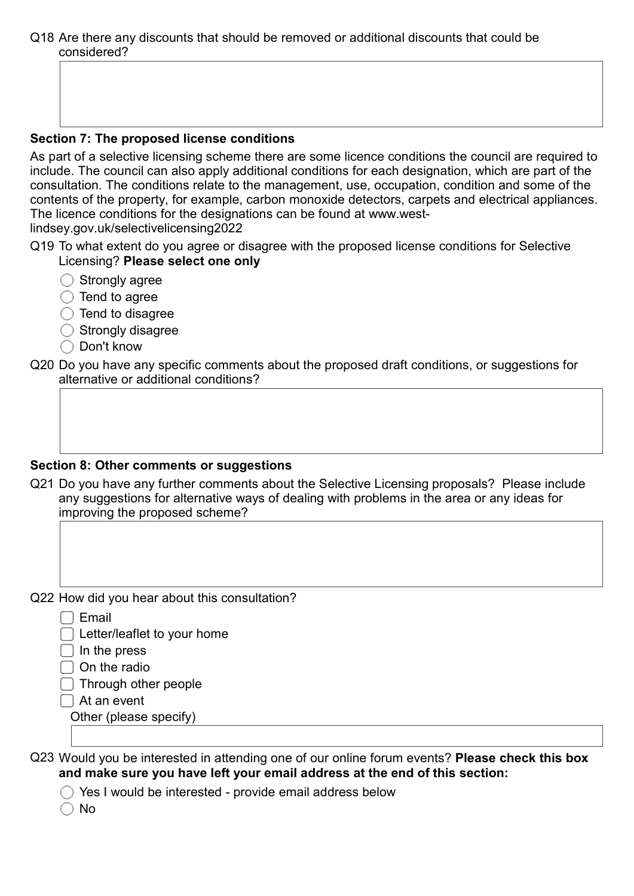Q18 Are there any discounts that should be removed or additional discounts that could be considered?

#### Section 7: The proposed license conditions

As part of a selective licensing scheme there are some licence conditions the council are required to include. The council can also apply additional conditions for each designation, which are part of the consultation. The conditions relate to the management, use, occupation, condition and some of the contents of the property, for example, carbon monoxide detectors, carpets and electrical appliances. The licence conditions for the designations can be found at www.westlindsey.gov.uk/selectivelicensing2022

- Q19 To what extent do you agree or disagree with the proposed license conditions for Selective Licensing? Please select one only
	- $\bigcirc$  Strongly agree
	- $\bigcirc$  Tend to agree
	- $\bigcirc$  Tend to disagree
	- $\bigcirc$  Strongly disagree
	- ◯ Don't know
- Q20 Do you have any specific comments about the proposed draft conditions, or suggestions for alternative or additional conditions?

#### Section 8: Other comments or suggestions

Q21 Do you have any further comments about the Selective Licensing proposals? Please include any suggestions for alternative ways of dealing with problems in the area or any ideas for improving the proposed scheme?

Q22 How did you hear about this consultation?

[ ] Email

□ Letter/leaflet to your home

- $\Box$  In the press
- $\Box$  On the radio

 $\Box$  Through other people

 $\Box$  At an event

Other (please specify)

Q23 Would you be interested in attending one of our online forum events? Please check this box and make sure you have left your email address at the end of this section:

 $\bigcirc$  Yes I would be interested - provide email address below

 $\bigcap$  No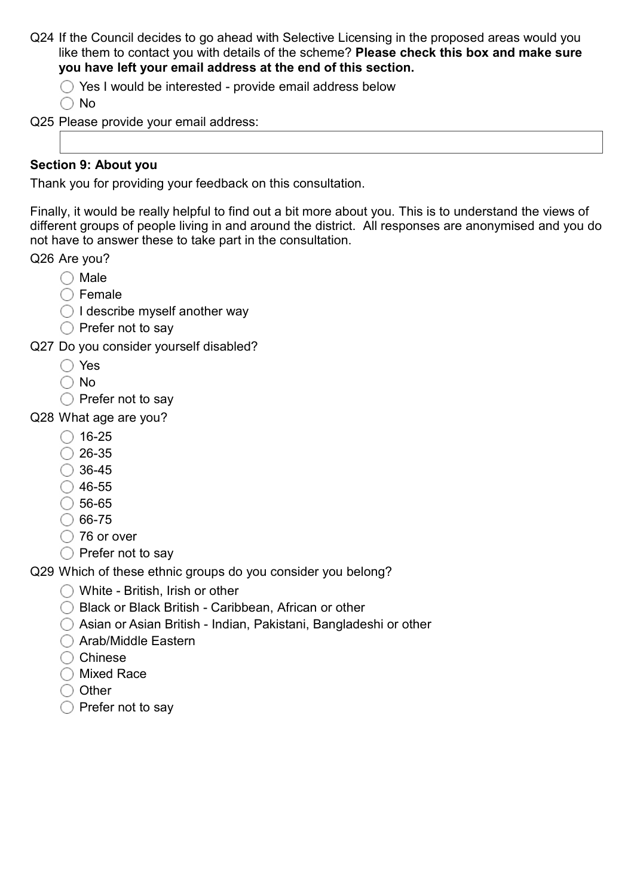- Q24 If the Council decides to go ahead with Selective Licensing in the proposed areas would you like them to contact you with details of the scheme? Please check this box and make sure you have left your email address at the end of this section.
	- $\bigcirc$  Yes I would be interested provide email address below

 $\bigcap$  No

Q25 Please provide your email address:

### Section 9: About you

Thank you for providing your feedback on this consultation.

Finally, it would be really helpful to find out a bit more about you. This is to understand the views of different groups of people living in and around the district. All responses are anonymised and you do not have to answer these to take part in the consultation.

Q26 Are you?

- $\bigcirc$  Male
- $\bigcap$  Female
- $\bigcirc$  I describe myself another way
- $\bigcirc$  Prefer not to say
- Q27 Do you consider yourself disabled?
	- ◯ Yes
	- No
	- $\bigcirc$  Prefer not to say
- Q28 What age are you?
	- $\bigcirc$  16-25
	- $\bigcirc$  26-35
	- $\bigcirc$  36-45
	- $\bigcirc$  46-55
	- $\bigcirc$  56-65
	- $\bigcirc$  66-75
	- ◯ 76 or over
	- $\bigcirc$  Prefer not to say

Q29 Which of these ethnic groups do you consider you belong?

- ◯ White British, Irish or other
- $\bigcirc$  Black or Black British Caribbean, African or other
- Asian or Asian British Indian, Pakistani, Bangladeshi or other
- ◯ Arab/Middle Eastern
- $\bigcirc$  Chinese
- ◯ Mixed Race
- $\bigcirc$  Other
- $\bigcirc$  Prefer not to say